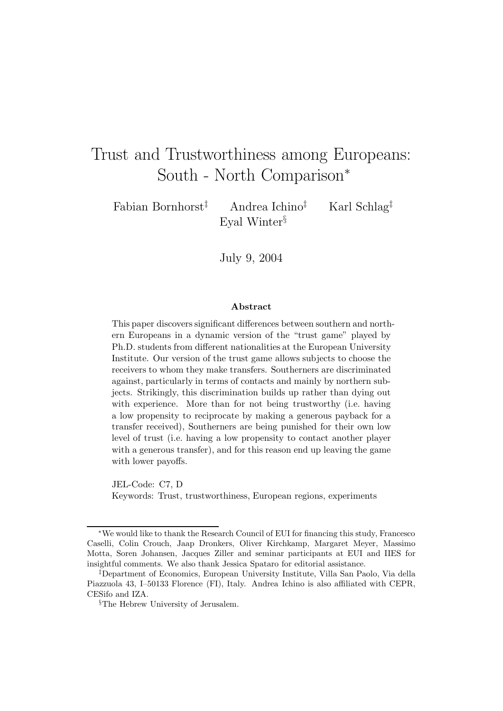# Trust and Trustworthiness among Europeans: South - North Comparison<sup>∗</sup>

Fabian Bornhorst‡ Andrea Ichino‡ Karl Schlag‡ Eval Winter<sup>§</sup>

July 9, 2004

#### **Abstract**

This paper discovers significant differences between southern and northern Europeans in a dynamic version of the "trust game" played by Ph.D. students from different nationalities at the European University Institute. Our version of the trust game allows subjects to choose the receivers to whom they make transfers. Southerners are discriminated against, particularly in terms of contacts and mainly by northern subjects. Strikingly, this discrimination builds up rather than dying out with experience. More than for not being trustworthy (i.e. having a low propensity to reciprocate by making a generous payback for a transfer received), Southerners are being punished for their own low level of trust (i.e. having a low propensity to contact another player with a generous transfer), and for this reason end up leaving the game with lower payoffs.

JEL-Code: C7, D Keywords: Trust, trustworthiness, European regions, experiments

<sup>∗</sup>We would like to thank the Research Council of EUI for financing this study, Francesco Caselli, Colin Crouch, Jaap Dronkers, Oliver Kirchkamp, Margaret Meyer, Massimo Motta, Soren Johansen, Jacques Ziller and seminar participants at EUI and IIES for insightful comments. We also thank Jessica Spataro for editorial assistance.

<sup>‡</sup>Department of Economics, European University Institute, Villa San Paolo, Via della Piazzuola 43, I–50133 Florence (FI), Italy. Andrea Ichino is also affiliated with CEPR, CESifo and IZA.

<sup>§</sup>The Hebrew University of Jerusalem.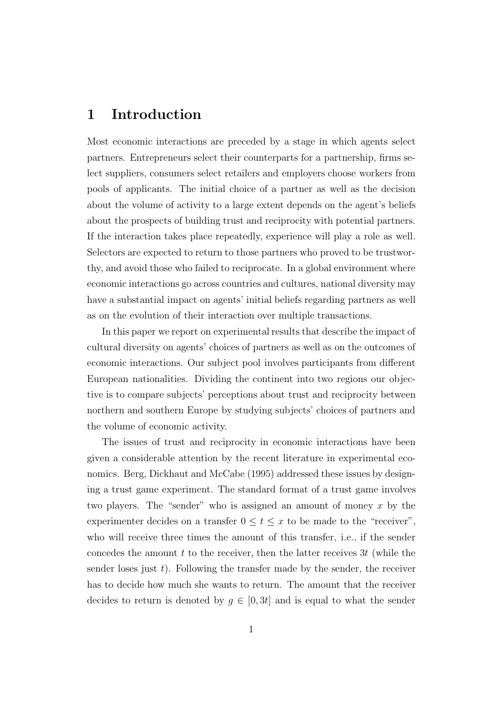### **1 Introduction**

Most economic interactions are preceded by a stage in which agents select partners. Entrepreneurs select their counterparts for a partnership, firms select suppliers, consumers select retailers and employers choose workers from pools of applicants. The initial choice of a partner as well as the decision about the volume of activity to a large extent depends on the agent's beliefs about the prospects of building trust and reciprocity with potential partners. If the interaction takes place repeatedly, experience will play a role as well. Selectors are expected to return to those partners who proved to be trustworthy, and avoid those who failed to reciprocate. In a global environment where economic interactions go across countries and cultures, national diversity may have a substantial impact on agents' initial beliefs regarding partners as well as on the evolution of their interaction over multiple transactions.

In this paper we report on experimental results that describe the impact of cultural diversity on agents' choices of partners as well as on the outcomes of economic interactions. Our subject pool involves participants from different European nationalities. Dividing the continent into two regions our objective is to compare subjects' perceptions about trust and reciprocity between northern and southern Europe by studying subjects' choices of partners and the volume of economic activity.

The issues of trust and reciprocity in economic interactions have been given a considerable attention by the recent literature in experimental economics. Berg, Dickhaut and McCabe (1995) addressed these issues by designing a trust game experiment. The standard format of a trust game involves two players. The "sender" who is assigned an amount of money  $x$  by the experimenter decides on a transfer  $0 \le t \le x$  to be made to the "receiver", who will receive three times the amount of this transfer, i.e., if the sender concedes the amount  $t$  to the receiver, then the latter receives  $3t$  (while the sender loses just  $t$ ). Following the transfer made by the sender, the receiver has to decide how much she wants to return. The amount that the receiver decides to return is denoted by  $g \in [0, 3t]$  and is equal to what the sender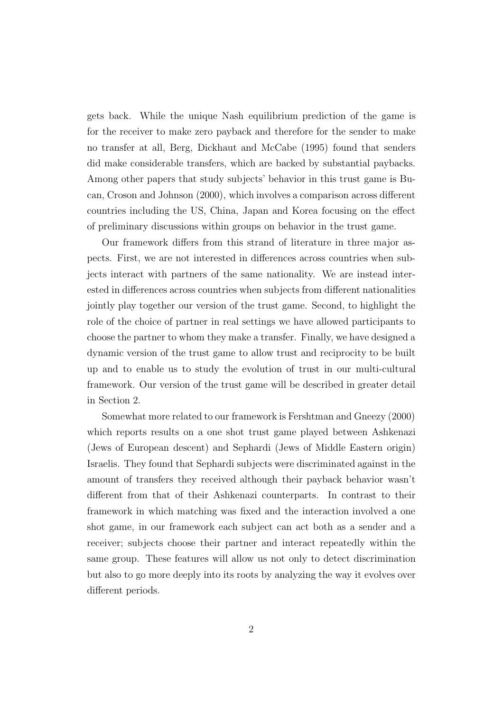gets back. While the unique Nash equilibrium prediction of the game is for the receiver to make zero payback and therefore for the sender to make no transfer at all, Berg, Dickhaut and McCabe (1995) found that senders did make considerable transfers, which are backed by substantial paybacks. Among other papers that study subjects' behavior in this trust game is Bucan, Croson and Johnson (2000), which involves a comparison across different countries including the US, China, Japan and Korea focusing on the effect of preliminary discussions within groups on behavior in the trust game.

Our framework differs from this strand of literature in three major aspects. First, we are not interested in differences across countries when subjects interact with partners of the same nationality. We are instead interested in differences across countries when subjects from different nationalities jointly play together our version of the trust game. Second, to highlight the role of the choice of partner in real settings we have allowed participants to choose the partner to whom they make a transfer. Finally, we have designed a dynamic version of the trust game to allow trust and reciprocity to be built up and to enable us to study the evolution of trust in our multi-cultural framework. Our version of the trust game will be described in greater detail in Section 2.

Somewhat more related to our framework is Fershtman and Gneezy (2000) which reports results on a one shot trust game played between Ashkenazi (Jews of European descent) and Sephardi (Jews of Middle Eastern origin) Israelis. They found that Sephardi subjects were discriminated against in the amount of transfers they received although their payback behavior wasn't different from that of their Ashkenazi counterparts. In contrast to their framework in which matching was fixed and the interaction involved a one shot game, in our framework each subject can act both as a sender and a receiver; subjects choose their partner and interact repeatedly within the same group. These features will allow us not only to detect discrimination but also to go more deeply into its roots by analyzing the way it evolves over different periods.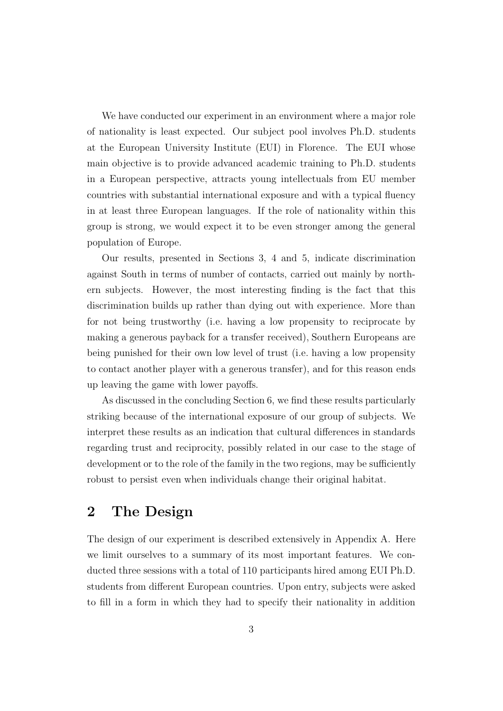We have conducted our experiment in an environment where a major role of nationality is least expected. Our subject pool involves Ph.D. students at the European University Institute (EUI) in Florence. The EUI whose main objective is to provide advanced academic training to Ph.D. students in a European perspective, attracts young intellectuals from EU member countries with substantial international exposure and with a typical fluency in at least three European languages. If the role of nationality within this group is strong, we would expect it to be even stronger among the general population of Europe.

Our results, presented in Sections 3, 4 and 5, indicate discrimination against South in terms of number of contacts, carried out mainly by northern subjects. However, the most interesting finding is the fact that this discrimination builds up rather than dying out with experience. More than for not being trustworthy (i.e. having a low propensity to reciprocate by making a generous payback for a transfer received), Southern Europeans are being punished for their own low level of trust (i.e. having a low propensity to contact another player with a generous transfer), and for this reason ends up leaving the game with lower payoffs.

As discussed in the concluding Section 6, we find these results particularly striking because of the international exposure of our group of subjects. We interpret these results as an indication that cultural differences in standards regarding trust and reciprocity, possibly related in our case to the stage of development or to the role of the family in the two regions, may be sufficiently robust to persist even when individuals change their original habitat.

#### **2 The Design**

The design of our experiment is described extensively in Appendix A. Here we limit ourselves to a summary of its most important features. We conducted three sessions with a total of 110 participants hired among EUI Ph.D. students from different European countries. Upon entry, subjects were asked to fill in a form in which they had to specify their nationality in addition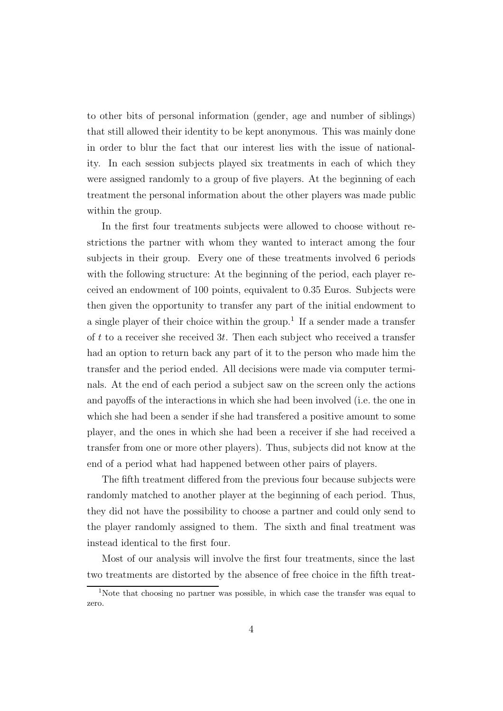to other bits of personal information (gender, age and number of siblings) that still allowed their identity to be kept anonymous. This was mainly done in order to blur the fact that our interest lies with the issue of nationality. In each session subjects played six treatments in each of which they were assigned randomly to a group of five players. At the beginning of each treatment the personal information about the other players was made public within the group.

In the first four treatments subjects were allowed to choose without restrictions the partner with whom they wanted to interact among the four subjects in their group. Every one of these treatments involved 6 periods with the following structure: At the beginning of the period, each player received an endowment of 100 points, equivalent to 0.35 Euros. Subjects were then given the opportunity to transfer any part of the initial endowment to a single player of their choice within the group.<sup>1</sup> If a sender made a transfer of  $t$  to a receiver she received  $3t$ . Then each subject who received a transfer had an option to return back any part of it to the person who made him the transfer and the period ended. All decisions were made via computer terminals. At the end of each period a subject saw on the screen only the actions and payoffs of the interactions in which she had been involved (i.e. the one in which she had been a sender if she had transfered a positive amount to some player, and the ones in which she had been a receiver if she had received a transfer from one or more other players). Thus, subjects did not know at the end of a period what had happened between other pairs of players.

The fifth treatment differed from the previous four because subjects were randomly matched to another player at the beginning of each period. Thus, they did not have the possibility to choose a partner and could only send to the player randomly assigned to them. The sixth and final treatment was instead identical to the first four.

Most of our analysis will involve the first four treatments, since the last two treatments are distorted by the absence of free choice in the fifth treat-

<sup>&</sup>lt;sup>1</sup>Note that choosing no partner was possible, in which case the transfer was equal to zero.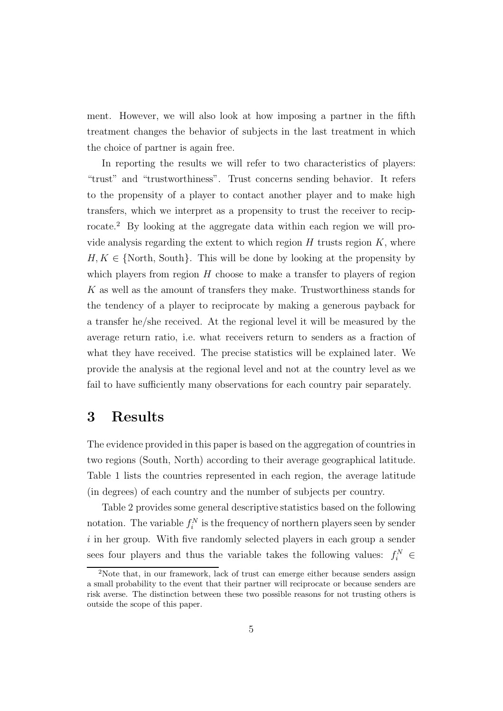ment. However, we will also look at how imposing a partner in the fifth treatment changes the behavior of subjects in the last treatment in which the choice of partner is again free.

In reporting the results we will refer to two characteristics of players: "trust" and "trustworthiness". Trust concerns sending behavior. It refers to the propensity of a player to contact another player and to make high transfers, which we interpret as a propensity to trust the receiver to reciprocate.<sup>2</sup> By looking at the aggregate data within each region we will provide analysis regarding the extent to which region  $H$  trusts region  $K$ , where  $H, K \in \{ \text{North}, \text{South} \}.$  This will be done by looking at the propensity by which players from region  $H$  choose to make a transfer to players of region K as well as the amount of transfers they make. Trustworthiness stands for the tendency of a player to reciprocate by making a generous payback for a transfer he/she received. At the regional level it will be measured by the average return ratio, i.e. what receivers return to senders as a fraction of what they have received. The precise statistics will be explained later. We provide the analysis at the regional level and not at the country level as we fail to have sufficiently many observations for each country pair separately.

#### **3 Results**

The evidence provided in this paper is based on the aggregation of countries in two regions (South, North) according to their average geographical latitude. Table 1 lists the countries represented in each region, the average latitude (in degrees) of each country and the number of subjects per country.

Table 2 provides some general descriptive statistics based on the following notation. The variable  $f_i^N$  is the frequency of northern players seen by sender  $i$  in her group. With five randomly selected players in each group a sender sees four players and thus the variable takes the following values:  $f_i^N \in$ 

<sup>2</sup>Note that, in our framework, lack of trust can emerge either because senders assign a small probability to the event that their partner will reciprocate or because senders are risk averse. The distinction between these two possible reasons for not trusting others is outside the scope of this paper.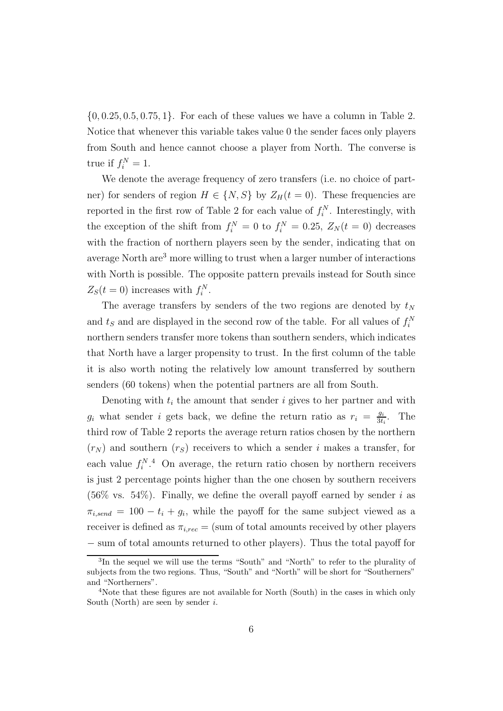$\{0, 0.25, 0.5, 0.75, 1\}$ . For each of these values we have a column in Table 2. Notice that whenever this variable takes value 0 the sender faces only players from South and hence cannot choose a player from North. The converse is true if  $f_i^N = 1$ .

We denote the average frequency of zero transfers (i.e. no choice of partner) for senders of region  $H \in \{N, S\}$  by  $Z_H(t=0)$ . These frequencies are reported in the first row of Table 2 for each value of  $f_i^N$ . Interestingly, with the exception of the shift from  $f_i^N = 0$  to  $f_i^N = 0.25$ ,  $Z_N(t = 0)$  decreases with the fraction of northern players seen by the sender, indicating that on average North are<sup>3</sup> more willing to trust when a larger number of interactions with North is possible. The opposite pattern prevails instead for South since  $Z_s(t=0)$  increases with  $f_i^N$ .

The average transfers by senders of the two regions are denoted by  $t_N$ and  $t_S$  and are displayed in the second row of the table. For all values of  $f_i^N$ northern senders transfer more tokens than southern senders, which indicates that North have a larger propensity to trust. In the first column of the table it is also worth noting the relatively low amount transferred by southern senders (60 tokens) when the potential partners are all from South.

Denoting with  $t_i$  the amount that sender i gives to her partner and with  $g_i$  what sender *i* gets back, we define the return ratio as  $r_i = \frac{g_i}{3t_i}$ . The third row of Table 2 reports the average return ratios chosen by the northern  $(r_N)$  and southern  $(r_S)$  receivers to which a sender i makes a transfer, for each value  $f_i^{N,4}$  On average, the return ratio chosen by northern receivers is just 2 percentage points higher than the one chosen by southern receivers  $(56\% \text{ vs. } 54\%)$ . Finally, we define the overall payoff earned by sender i as  $\pi_{i,send} = 100 - t_i + g_i$ , while the payoff for the same subject viewed as a receiver is defined as  $\pi_{i,rec} = (sum \space of \space total \space amounts \space received \space by \space other \space players$ − sum of total amounts returned to other players). Thus the total payoff for

<sup>3</sup>In the sequel we will use the terms "South" and "North" to refer to the plurality of subjects from the two regions. Thus, "South" and "North" will be short for "Southerners" and "Northerners".

<sup>&</sup>lt;sup>4</sup>Note that these figures are not available for North (South) in the cases in which only South (North) are seen by sender  $i$ .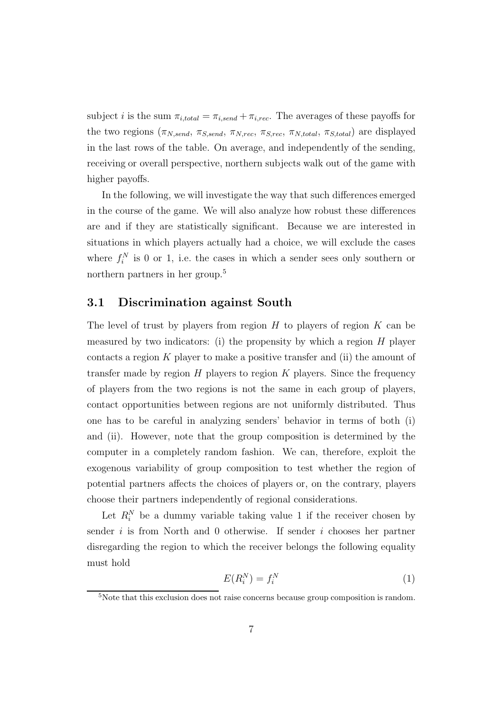subject *i* is the sum  $\pi_{i,total} = \pi_{i,send} + \pi_{i,rec}$ . The averages of these payoffs for the two regions  $(\pi_{N,send}, \pi_{S,send}, \pi_{N,rec}, \pi_{S,rec}, \pi_{N,total}, \pi_{S,total})$  are displayed in the last rows of the table. On average, and independently of the sending, receiving or overall perspective, northern subjects walk out of the game with higher payoffs.

In the following, we will investigate the way that such differences emerged in the course of the game. We will also analyze how robust these differences are and if they are statistically significant. Because we are interested in situations in which players actually had a choice, we will exclude the cases where  $f_i^N$  is 0 or 1, i.e. the cases in which a sender sees only southern or northern partners in her group.<sup>5</sup>

#### **3.1 Discrimination against South**

The level of trust by players from region  $H$  to players of region  $K$  can be measured by two indicators: (i) the propensity by which a region  $H$  player contacts a region  $K$  player to make a positive transfer and (ii) the amount of transfer made by region  $H$  players to region  $K$  players. Since the frequency of players from the two regions is not the same in each group of players, contact opportunities between regions are not uniformly distributed. Thus one has to be careful in analyzing senders' behavior in terms of both (i) and (ii). However, note that the group composition is determined by the computer in a completely random fashion. We can, therefore, exploit the exogenous variability of group composition to test whether the region of potential partners affects the choices of players or, on the contrary, players choose their partners independently of regional considerations.

Let  $R_i^N$  be a dummy variable taking value 1 if the receiver chosen by sender  $i$  is from North and 0 otherwise. If sender  $i$  chooses her partner disregarding the region to which the receiver belongs the following equality must hold

$$
E(R_i^N) = f_i^N \tag{1}
$$

<sup>&</sup>lt;sup>5</sup>Note that this exclusion does not raise concerns because group composition is random.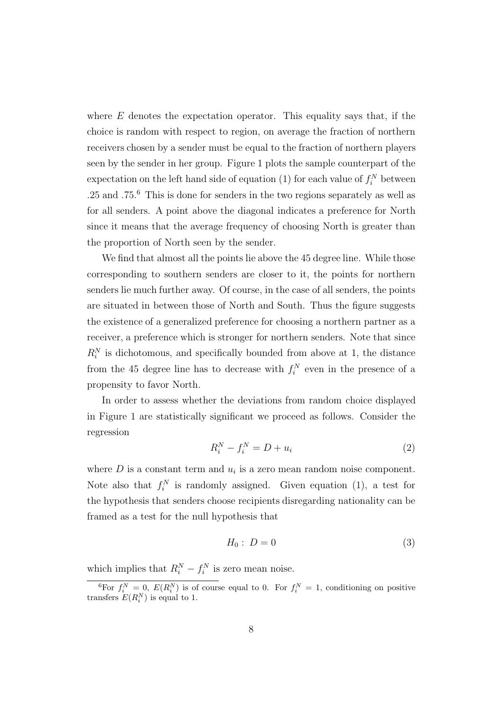where  $E$  denotes the expectation operator. This equality says that, if the choice is random with respect to region, on average the fraction of northern receivers chosen by a sender must be equal to the fraction of northern players seen by the sender in her group. Figure 1 plots the sample counterpart of the expectation on the left hand side of equation (1) for each value of  $f_i^N$  between .25 and .75.<sup>6</sup> This is done for senders in the two regions separately as well as for all senders. A point above the diagonal indicates a preference for North since it means that the average frequency of choosing North is greater than the proportion of North seen by the sender.

We find that almost all the points lie above the 45 degree line. While those corresponding to southern senders are closer to it, the points for northern senders lie much further away. Of course, in the case of all senders, the points are situated in between those of North and South. Thus the figure suggests the existence of a generalized preference for choosing a northern partner as a receiver, a preference which is stronger for northern senders. Note that since  $R_i^N$  is dichotomous, and specifically bounded from above at 1, the distance from the 45 degree line has to decrease with  $f_i^N$  even in the presence of a propensity to favor North.

In order to assess whether the deviations from random choice displayed in Figure 1 are statistically significant we proceed as follows. Consider the regression

$$
R_i^N - f_i^N = D + u_i \tag{2}
$$

where  $D$  is a constant term and  $u_i$  is a zero mean random noise component. Note also that  $f_i^N$  is randomly assigned. Given equation (1), a test for the hypothesis that senders choose recipients disregarding nationality can be framed as a test for the null hypothesis that

$$
H_0: D = 0 \tag{3}
$$

which implies that  $R_i^N - f_i^N$  is zero mean noise.

<sup>&</sup>lt;sup>6</sup>For  $f_i^N = 0$ ,  $E(R_i^N)$  is of course equal to 0. For  $f_i^N = 1$ , conditioning on positive transfers  $E(R_i^N)$  is equal to 1.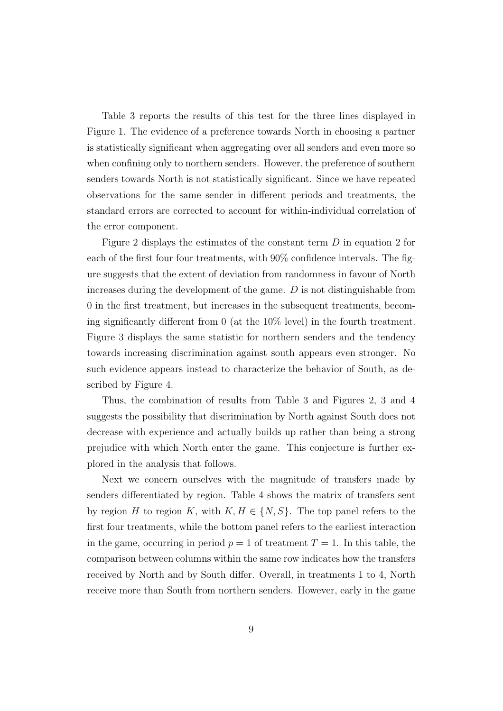Table 3 reports the results of this test for the three lines displayed in Figure 1. The evidence of a preference towards North in choosing a partner is statistically significant when aggregating over all senders and even more so when confining only to northern senders. However, the preference of southern senders towards North is not statistically significant. Since we have repeated observations for the same sender in different periods and treatments, the standard errors are corrected to account for within-individual correlation of the error component.

Figure 2 displays the estimates of the constant term  $D$  in equation 2 for each of the first four four treatments, with 90% confidence intervals. The figure suggests that the extent of deviation from randomness in favour of North increases during the development of the game.  $D$  is not distinguishable from 0 in the first treatment, but increases in the subsequent treatments, becoming significantly different from 0 (at the 10% level) in the fourth treatment. Figure 3 displays the same statistic for northern senders and the tendency towards increasing discrimination against south appears even stronger. No such evidence appears instead to characterize the behavior of South, as described by Figure 4.

Thus, the combination of results from Table 3 and Figures 2, 3 and 4 suggests the possibility that discrimination by North against South does not decrease with experience and actually builds up rather than being a strong prejudice with which North enter the game. This conjecture is further explored in the analysis that follows.

Next we concern ourselves with the magnitude of transfers made by senders differentiated by region. Table 4 shows the matrix of transfers sent by region H to region K, with  $K, H \in \{N, S\}$ . The top panel refers to the first four treatments, while the bottom panel refers to the earliest interaction in the game, occurring in period  $p = 1$  of treatment  $T = 1$ . In this table, the comparison between columns within the same row indicates how the transfers received by North and by South differ. Overall, in treatments 1 to 4, North receive more than South from northern senders. However, early in the game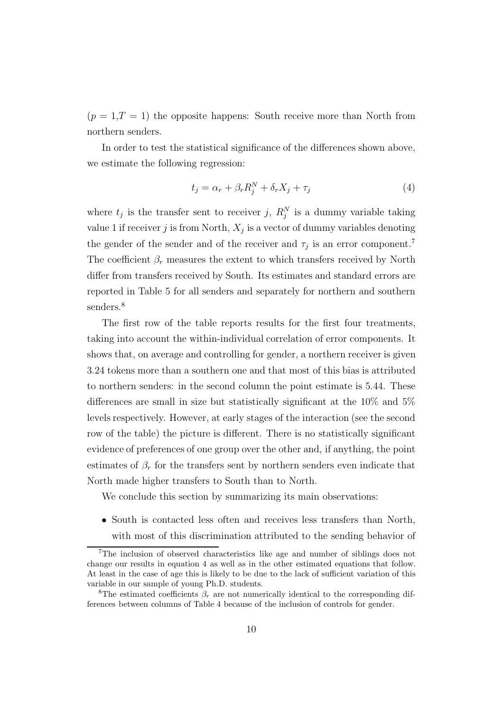$(p = 1, T = 1)$  the opposite happens: South receive more than North from northern senders.

In order to test the statistical significance of the differences shown above, we estimate the following regression:

$$
t_j = \alpha_r + \beta_r R_j^N + \delta_r X_j + \tau_j \tag{4}
$$

where  $t_j$  is the transfer sent to receiver j,  $R_j^N$  is a dummy variable taking value 1 if receiver j is from North,  $X_j$  is a vector of dummy variables denoting the gender of the sender and of the receiver and  $\tau_j$  is an error component.<sup>7</sup> The coefficient  $\beta_r$  measures the extent to which transfers received by North differ from transfers received by South. Its estimates and standard errors are reported in Table 5 for all senders and separately for northern and southern senders.<sup>8</sup>

The first row of the table reports results for the first four treatments, taking into account the within-individual correlation of error components. It shows that, on average and controlling for gender, a northern receiver is given 3.24 tokens more than a southern one and that most of this bias is attributed to northern senders: in the second column the point estimate is 5.44. These differences are small in size but statistically significant at the 10% and 5% levels respectively. However, at early stages of the interaction (see the second row of the table) the picture is different. There is no statistically significant evidence of preferences of one group over the other and, if anything, the point estimates of  $\beta_r$  for the transfers sent by northern senders even indicate that North made higher transfers to South than to North.

We conclude this section by summarizing its main observations:

• South is contacted less often and receives less transfers than North, with most of this discrimination attributed to the sending behavior of

<sup>7</sup>The inclusion of observed characteristics like age and number of siblings does not change our results in equation 4 as well as in the other estimated equations that follow. At least in the case of age this is likely to be due to the lack of sufficient variation of this variable in our sample of young Ph.D. students.

<sup>&</sup>lt;sup>8</sup>The estimated coefficients  $\beta_r$  are not numerically identical to the corresponding differences between columns of Table 4 because of the inclusion of controls for gender.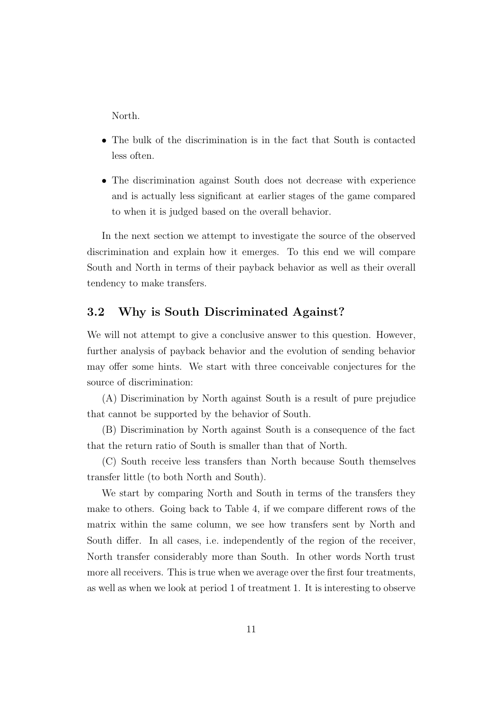North.

- The bulk of the discrimination is in the fact that South is contacted less often.
- The discrimination against South does not decrease with experience and is actually less significant at earlier stages of the game compared to when it is judged based on the overall behavior.

In the next section we attempt to investigate the source of the observed discrimination and explain how it emerges. To this end we will compare South and North in terms of their payback behavior as well as their overall tendency to make transfers.

#### **3.2 Why is South Discriminated Against?**

We will not attempt to give a conclusive answer to this question. However, further analysis of payback behavior and the evolution of sending behavior may offer some hints. We start with three conceivable conjectures for the source of discrimination:

(A) Discrimination by North against South is a result of pure prejudice that cannot be supported by the behavior of South.

(B) Discrimination by North against South is a consequence of the fact that the return ratio of South is smaller than that of North.

(C) South receive less transfers than North because South themselves transfer little (to both North and South).

We start by comparing North and South in terms of the transfers they make to others. Going back to Table 4, if we compare different rows of the matrix within the same column, we see how transfers sent by North and South differ. In all cases, i.e. independently of the region of the receiver, North transfer considerably more than South. In other words North trust more all receivers. This is true when we average over the first four treatments, as well as when we look at period 1 of treatment 1. It is interesting to observe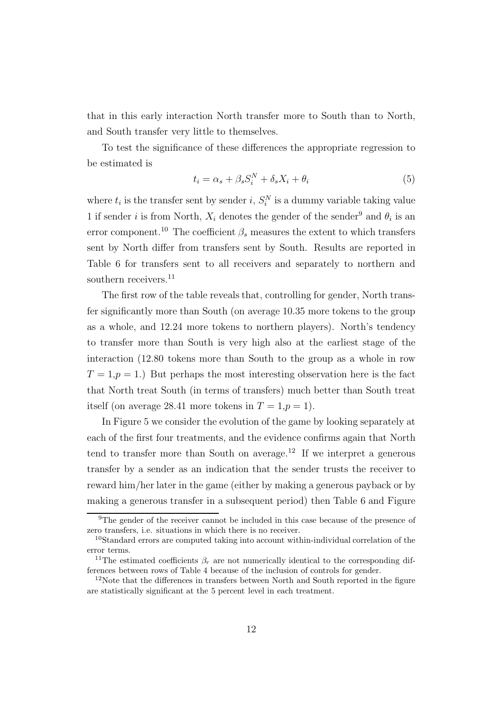that in this early interaction North transfer more to South than to North, and South transfer very little to themselves.

To test the significance of these differences the appropriate regression to be estimated is

$$
t_i = \alpha_s + \beta_s S_i^N + \delta_s X_i + \theta_i \tag{5}
$$

where  $t_i$  is the transfer sent by sender i,  $S_i^N$  is a dummy variable taking value 1 if sender i is from North,  $X_i$  denotes the gender of the sender<sup>9</sup> and  $\theta_i$  is an error component.<sup>10</sup> The coefficient  $\beta_s$  measures the extent to which transfers sent by North differ from transfers sent by South. Results are reported in Table 6 for transfers sent to all receivers and separately to northern and southern receivers.<sup>11</sup>

The first row of the table reveals that, controlling for gender, North transfer significantly more than South (on average 10.35 more tokens to the group as a whole, and 12.24 more tokens to northern players). North's tendency to transfer more than South is very high also at the earliest stage of the interaction (12.80 tokens more than South to the group as a whole in row  $T = 1, p = 1$ .) But perhaps the most interesting observation here is the fact that North treat South (in terms of transfers) much better than South treat itself (on average 28.41 more tokens in  $T = 1, p = 1$ ).

In Figure 5 we consider the evolution of the game by looking separately at each of the first four treatments, and the evidence confirms again that North tend to transfer more than South on average.<sup>12</sup> If we interpret a generous transfer by a sender as an indication that the sender trusts the receiver to reward him/her later in the game (either by making a generous payback or by making a generous transfer in a subsequent period) then Table 6 and Figure

<sup>&</sup>lt;sup>9</sup>The gender of the receiver cannot be included in this case because of the presence of zero transfers, i.e. situations in which there is no receiver.

<sup>10</sup>Standard errors are computed taking into account within-individual correlation of the error terms.

<sup>&</sup>lt;sup>11</sup>The estimated coefficients  $\beta_r$  are not numerically identical to the corresponding differences between rows of Table 4 because of the inclusion of controls for gender.

 $12$ Note that the differences in transfers between North and South reported in the figure are statistically significant at the 5 percent level in each treatment.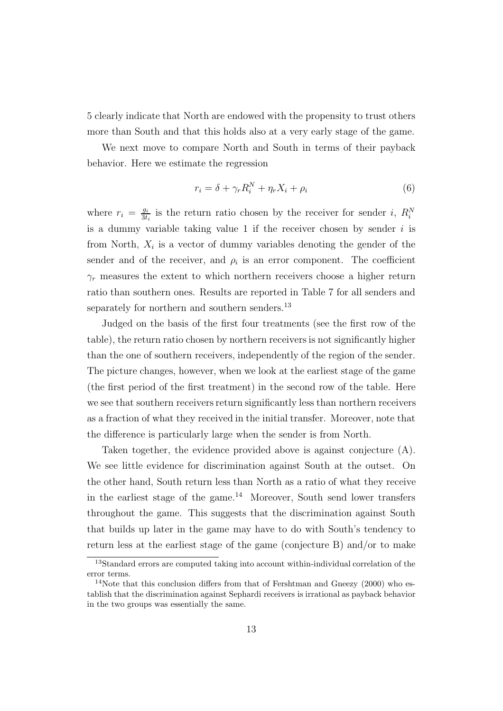5 clearly indicate that North are endowed with the propensity to trust others more than South and that this holds also at a very early stage of the game.

We next move to compare North and South in terms of their payback behavior. Here we estimate the regression

$$
r_i = \delta + \gamma_r R_i^N + \eta_r X_i + \rho_i \tag{6}
$$

where  $r_i = \frac{g_i}{3t_i}$  is the return ratio chosen by the receiver for sender i,  $R_i^N$ is a dummy variable taking value 1 if the receiver chosen by sender  $i$  is from North,  $X_i$  is a vector of dummy variables denoting the gender of the sender and of the receiver, and  $\rho_i$  is an error component. The coefficient  $\gamma_r$  measures the extent to which northern receivers choose a higher return ratio than southern ones. Results are reported in Table 7 for all senders and separately for northern and southern senders.<sup>13</sup>

Judged on the basis of the first four treatments (see the first row of the table), the return ratio chosen by northern receivers is not significantly higher than the one of southern receivers, independently of the region of the sender. The picture changes, however, when we look at the earliest stage of the game (the first period of the first treatment) in the second row of the table. Here we see that southern receivers return significantly less than northern receivers as a fraction of what they received in the initial transfer. Moreover, note that the difference is particularly large when the sender is from North.

Taken together, the evidence provided above is against conjecture (A). We see little evidence for discrimination against South at the outset. On the other hand, South return less than North as a ratio of what they receive in the earliest stage of the game.<sup>14</sup> Moreover, South send lower transfers throughout the game. This suggests that the discrimination against South that builds up later in the game may have to do with South's tendency to return less at the earliest stage of the game (conjecture B) and/or to make

<sup>13</sup>Standard errors are computed taking into account within-individual correlation of the error terms.

 $14$ Note that this conclusion differs from that of Fershtman and Gneezy (2000) who establish that the discrimination against Sephardi receivers is irrational as payback behavior in the two groups was essentially the same.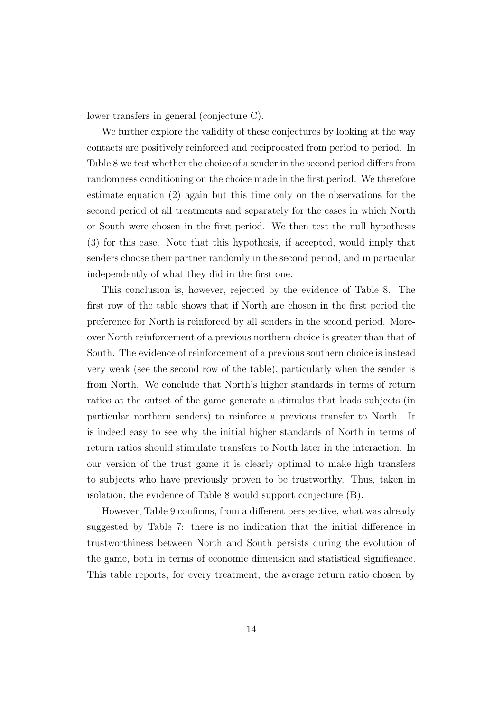lower transfers in general (conjecture C).

We further explore the validity of these conjectures by looking at the way contacts are positively reinforced and reciprocated from period to period. In Table 8 we test whether the choice of a sender in the second period differs from randomness conditioning on the choice made in the first period. We therefore estimate equation (2) again but this time only on the observations for the second period of all treatments and separately for the cases in which North or South were chosen in the first period. We then test the null hypothesis (3) for this case. Note that this hypothesis, if accepted, would imply that senders choose their partner randomly in the second period, and in particular independently of what they did in the first one.

This conclusion is, however, rejected by the evidence of Table 8. The first row of the table shows that if North are chosen in the first period the preference for North is reinforced by all senders in the second period. Moreover North reinforcement of a previous northern choice is greater than that of South. The evidence of reinforcement of a previous southern choice is instead very weak (see the second row of the table), particularly when the sender is from North. We conclude that North's higher standards in terms of return ratios at the outset of the game generate a stimulus that leads subjects (in particular northern senders) to reinforce a previous transfer to North. It is indeed easy to see why the initial higher standards of North in terms of return ratios should stimulate transfers to North later in the interaction. In our version of the trust game it is clearly optimal to make high transfers to subjects who have previously proven to be trustworthy. Thus, taken in isolation, the evidence of Table 8 would support conjecture (B).

However, Table 9 confirms, from a different perspective, what was already suggested by Table 7: there is no indication that the initial difference in trustworthiness between North and South persists during the evolution of the game, both in terms of economic dimension and statistical significance. This table reports, for every treatment, the average return ratio chosen by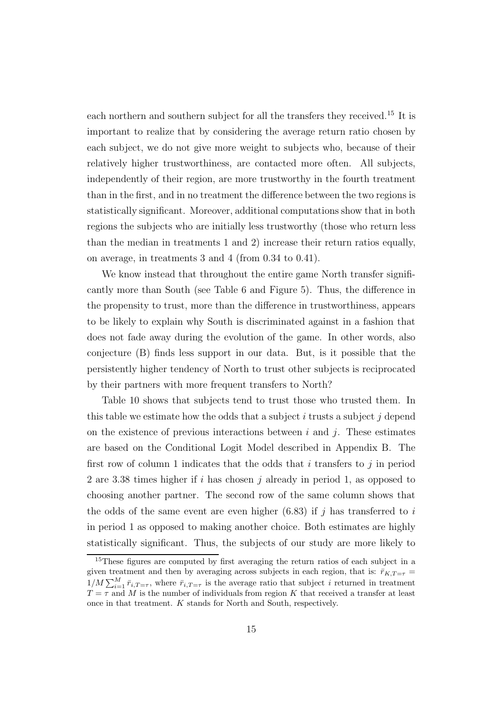each northern and southern subject for all the transfers they received.<sup>15</sup> It is important to realize that by considering the average return ratio chosen by each subject, we do not give more weight to subjects who, because of their relatively higher trustworthiness, are contacted more often. All subjects, independently of their region, are more trustworthy in the fourth treatment than in the first, and in no treatment the difference between the two regions is statistically significant. Moreover, additional computations show that in both regions the subjects who are initially less trustworthy (those who return less than the median in treatments 1 and 2) increase their return ratios equally, on average, in treatments 3 and 4 (from 0.34 to 0.41).

We know instead that throughout the entire game North transfer significantly more than South (see Table 6 and Figure 5). Thus, the difference in the propensity to trust, more than the difference in trustworthiness, appears to be likely to explain why South is discriminated against in a fashion that does not fade away during the evolution of the game. In other words, also conjecture (B) finds less support in our data. But, is it possible that the persistently higher tendency of North to trust other subjects is reciprocated by their partners with more frequent transfers to North?

Table 10 shows that subjects tend to trust those who trusted them. In this table we estimate how the odds that a subject i trusts a subject j depend on the existence of previous interactions between  $i$  and  $j$ . These estimates are based on the Conditional Logit Model described in Appendix B. The first row of column 1 indicates that the odds that i transfers to j in period 2 are 3.38 times higher if i has chosen j already in period 1, as opposed to choosing another partner. The second row of the same column shows that the odds of the same event are even higher  $(6.83)$  if j has transferred to i in period 1 as opposed to making another choice. Both estimates are highly statistically significant. Thus, the subjects of our study are more likely to

<sup>&</sup>lt;sup>15</sup>These figures are computed by first averaging the return ratios of each subject in a given treatment and then by averaging across subjects in each region, that is:  $\bar{r}_{K,T=\tau}$  =  $1/M \sum_{i=1}^{M} \bar{r}_{i,T=\tau}$ , where  $\bar{r}_{i,T=\tau}$  is the average ratio that subject i returned in treatment  $T = \tau$  and M is the number of individuals from region K that received a transfer at least once in that treatment. K stands for North and South, respectively.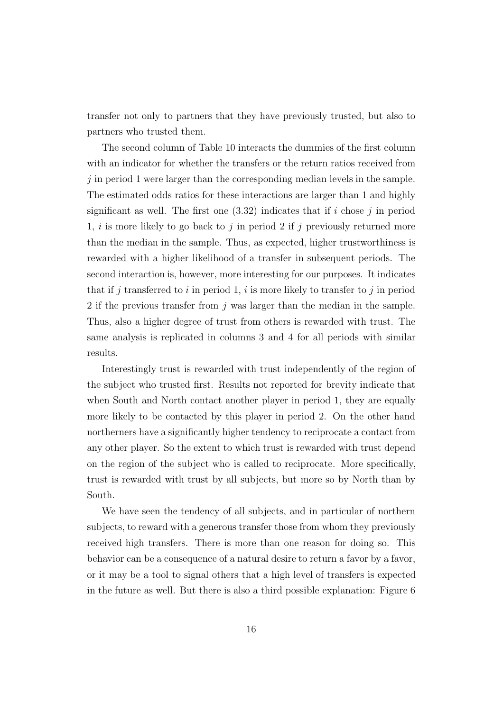transfer not only to partners that they have previously trusted, but also to partners who trusted them.

The second column of Table 10 interacts the dummies of the first column with an indicator for whether the transfers or the return ratios received from  $j$  in period 1 were larger than the corresponding median levels in the sample. The estimated odds ratios for these interactions are larger than 1 and highly significant as well. The first one  $(3.32)$  indicates that if i chose j in period 1, i is more likely to go back to j in period 2 if j previously returned more than the median in the sample. Thus, as expected, higher trustworthiness is rewarded with a higher likelihood of a transfer in subsequent periods. The second interaction is, however, more interesting for our purposes. It indicates that if j transferred to i in period 1, i is more likely to transfer to j in period 2 if the previous transfer from  $j$  was larger than the median in the sample. Thus, also a higher degree of trust from others is rewarded with trust. The same analysis is replicated in columns 3 and 4 for all periods with similar results.

Interestingly trust is rewarded with trust independently of the region of the subject who trusted first. Results not reported for brevity indicate that when South and North contact another player in period 1, they are equally more likely to be contacted by this player in period 2. On the other hand northerners have a significantly higher tendency to reciprocate a contact from any other player. So the extent to which trust is rewarded with trust depend on the region of the subject who is called to reciprocate. More specifically, trust is rewarded with trust by all subjects, but more so by North than by South.

We have seen the tendency of all subjects, and in particular of northern subjects, to reward with a generous transfer those from whom they previously received high transfers. There is more than one reason for doing so. This behavior can be a consequence of a natural desire to return a favor by a favor, or it may be a tool to signal others that a high level of transfers is expected in the future as well. But there is also a third possible explanation: Figure 6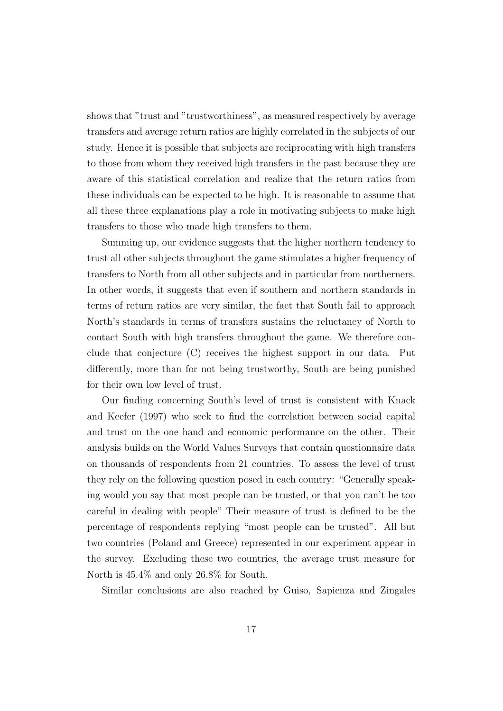shows that "trust and "trustworthiness", as measured respectively by average transfers and average return ratios are highly correlated in the subjects of our study. Hence it is possible that subjects are reciprocating with high transfers to those from whom they received high transfers in the past because they are aware of this statistical correlation and realize that the return ratios from these individuals can be expected to be high. It is reasonable to assume that all these three explanations play a role in motivating subjects to make high transfers to those who made high transfers to them.

Summing up, our evidence suggests that the higher northern tendency to trust all other subjects throughout the game stimulates a higher frequency of transfers to North from all other subjects and in particular from northerners. In other words, it suggests that even if southern and northern standards in terms of return ratios are very similar, the fact that South fail to approach North's standards in terms of transfers sustains the reluctancy of North to contact South with high transfers throughout the game. We therefore conclude that conjecture (C) receives the highest support in our data. Put differently, more than for not being trustworthy, South are being punished for their own low level of trust.

Our finding concerning South's level of trust is consistent with Knack and Keefer (1997) who seek to find the correlation between social capital and trust on the one hand and economic performance on the other. Their analysis builds on the World Values Surveys that contain questionnaire data on thousands of respondents from 21 countries. To assess the level of trust they rely on the following question posed in each country: "Generally speaking would you say that most people can be trusted, or that you can't be too careful in dealing with people" Their measure of trust is defined to be the percentage of respondents replying "most people can be trusted". All but two countries (Poland and Greece) represented in our experiment appear in the survey. Excluding these two countries, the average trust measure for North is 45.4% and only 26.8% for South.

Similar conclusions are also reached by Guiso, Sapienza and Zingales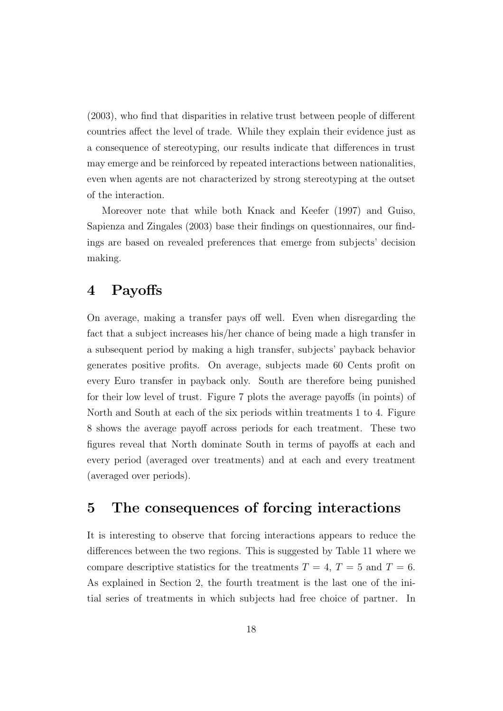(2003), who find that disparities in relative trust between people of different countries affect the level of trade. While they explain their evidence just as a consequence of stereotyping, our results indicate that differences in trust may emerge and be reinforced by repeated interactions between nationalities, even when agents are not characterized by strong stereotyping at the outset of the interaction.

Moreover note that while both Knack and Keefer (1997) and Guiso, Sapienza and Zingales (2003) base their findings on questionnaires, our findings are based on revealed preferences that emerge from subjects' decision making.

#### **4 Payoffs**

On average, making a transfer pays off well. Even when disregarding the fact that a subject increases his/her chance of being made a high transfer in a subsequent period by making a high transfer, subjects' payback behavior generates positive profits. On average, subjects made 60 Cents profit on every Euro transfer in payback only. South are therefore being punished for their low level of trust. Figure 7 plots the average payoffs (in points) of North and South at each of the six periods within treatments 1 to 4. Figure 8 shows the average payoff across periods for each treatment. These two figures reveal that North dominate South in terms of payoffs at each and every period (averaged over treatments) and at each and every treatment (averaged over periods).

## **5 The consequences of forcing interactions**

It is interesting to observe that forcing interactions appears to reduce the differences between the two regions. This is suggested by Table 11 where we compare descriptive statistics for the treatments  $T = 4$ ,  $T = 5$  and  $T = 6$ . As explained in Section 2, the fourth treatment is the last one of the initial series of treatments in which subjects had free choice of partner. In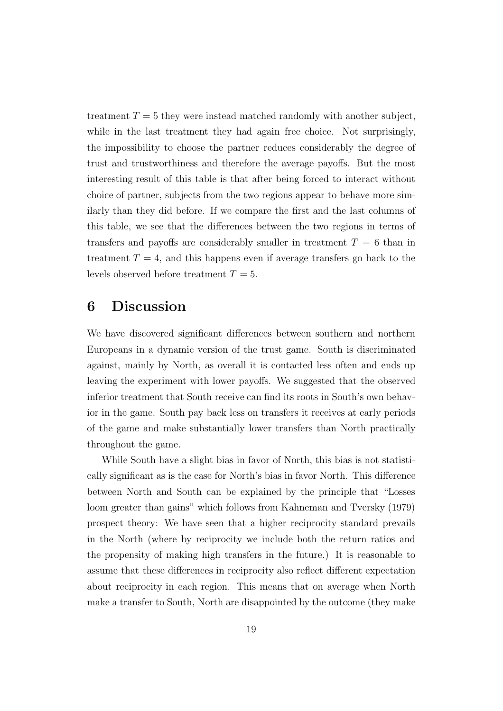treatment  $T = 5$  they were instead matched randomly with another subject, while in the last treatment they had again free choice. Not surprisingly, the impossibility to choose the partner reduces considerably the degree of trust and trustworthiness and therefore the average payoffs. But the most interesting result of this table is that after being forced to interact without choice of partner, subjects from the two regions appear to behave more similarly than they did before. If we compare the first and the last columns of this table, we see that the differences between the two regions in terms of transfers and payoffs are considerably smaller in treatment  $T = 6$  than in treatment  $T = 4$ , and this happens even if average transfers go back to the levels observed before treatment  $T = 5$ .

#### **6 Discussion**

We have discovered significant differences between southern and northern Europeans in a dynamic version of the trust game. South is discriminated against, mainly by North, as overall it is contacted less often and ends up leaving the experiment with lower payoffs. We suggested that the observed inferior treatment that South receive can find its roots in South's own behavior in the game. South pay back less on transfers it receives at early periods of the game and make substantially lower transfers than North practically throughout the game.

While South have a slight bias in favor of North, this bias is not statistically significant as is the case for North's bias in favor North. This difference between North and South can be explained by the principle that "Losses loom greater than gains" which follows from Kahneman and Tversky (1979) prospect theory: We have seen that a higher reciprocity standard prevails in the North (where by reciprocity we include both the return ratios and the propensity of making high transfers in the future.) It is reasonable to assume that these differences in reciprocity also reflect different expectation about reciprocity in each region. This means that on average when North make a transfer to South, North are disappointed by the outcome (they make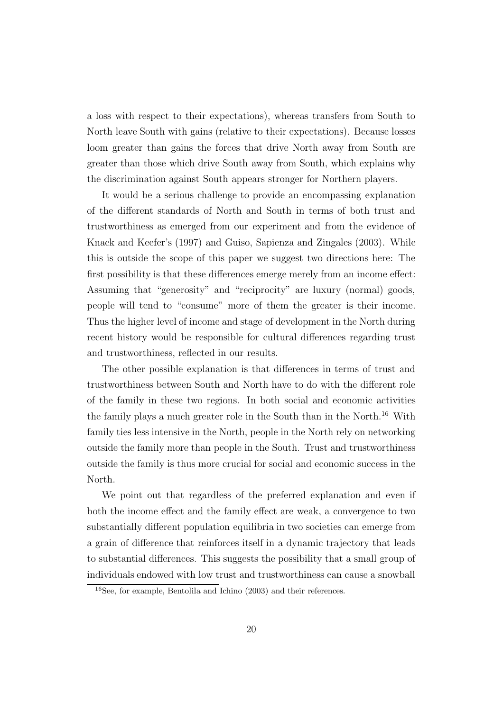a loss with respect to their expectations), whereas transfers from South to North leave South with gains (relative to their expectations). Because losses loom greater than gains the forces that drive North away from South are greater than those which drive South away from South, which explains why the discrimination against South appears stronger for Northern players.

It would be a serious challenge to provide an encompassing explanation of the different standards of North and South in terms of both trust and trustworthiness as emerged from our experiment and from the evidence of Knack and Keefer's (1997) and Guiso, Sapienza and Zingales (2003). While this is outside the scope of this paper we suggest two directions here: The first possibility is that these differences emerge merely from an income effect: Assuming that "generosity" and "reciprocity" are luxury (normal) goods, people will tend to "consume" more of them the greater is their income. Thus the higher level of income and stage of development in the North during recent history would be responsible for cultural differences regarding trust and trustworthiness, reflected in our results.

The other possible explanation is that differences in terms of trust and trustworthiness between South and North have to do with the different role of the family in these two regions. In both social and economic activities the family plays a much greater role in the South than in the North.<sup>16</sup> With family ties less intensive in the North, people in the North rely on networking outside the family more than people in the South. Trust and trustworthiness outside the family is thus more crucial for social and economic success in the North.

We point out that regardless of the preferred explanation and even if both the income effect and the family effect are weak, a convergence to two substantially different population equilibria in two societies can emerge from a grain of difference that reinforces itself in a dynamic trajectory that leads to substantial differences. This suggests the possibility that a small group of individuals endowed with low trust and trustworthiness can cause a snowball

<sup>16</sup>See, for example, Bentolila and Ichino (2003) and their references.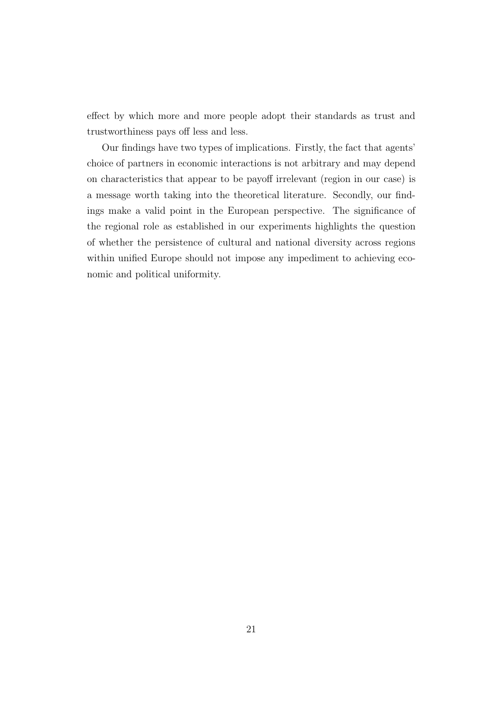effect by which more and more people adopt their standards as trust and trustworthiness pays off less and less.

Our findings have two types of implications. Firstly, the fact that agents' choice of partners in economic interactions is not arbitrary and may depend on characteristics that appear to be payoff irrelevant (region in our case) is a message worth taking into the theoretical literature. Secondly, our findings make a valid point in the European perspective. The significance of the regional role as established in our experiments highlights the question of whether the persistence of cultural and national diversity across regions within unified Europe should not impose any impediment to achieving economic and political uniformity.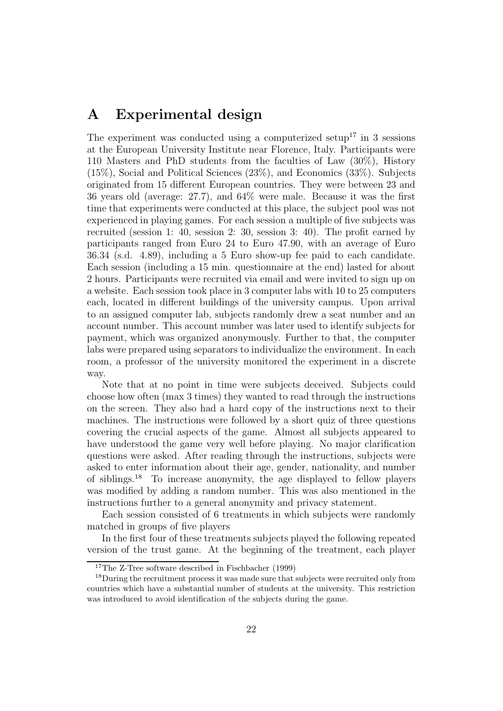## **A Experimental design**

The experiment was conducted using a computerized setup<sup>17</sup> in 3 sessions at the European University Institute near Florence, Italy. Participants were 110 Masters and PhD students from the faculties of Law (30%), History (15%), Social and Political Sciences (23%), and Economics (33%). Subjects originated from 15 different European countries. They were between 23 and 36 years old (average: 27.7), and 64% were male. Because it was the first time that experiments were conducted at this place, the subject pool was not experienced in playing games. For each session a multiple of five subjects was recruited (session 1: 40, session 2: 30, session 3: 40). The profit earned by participants ranged from Euro 24 to Euro 47.90, with an average of Euro 36.34 (s.d. 4.89), including a 5 Euro show-up fee paid to each candidate. Each session (including a 15 min. questionnaire at the end) lasted for about 2 hours. Participants were recruited via email and were invited to sign up on a website. Each session took place in 3 computer labs with 10 to 25 computers each, located in different buildings of the university campus. Upon arrival to an assigned computer lab, subjects randomly drew a seat number and an account number. This account number was later used to identify subjects for payment, which was organized anonymously. Further to that, the computer labs were prepared using separators to individualize the environment. In each room, a professor of the university monitored the experiment in a discrete way.

Note that at no point in time were subjects deceived. Subjects could choose how often (max 3 times) they wanted to read through the instructions on the screen. They also had a hard copy of the instructions next to their machines. The instructions were followed by a short quiz of three questions covering the crucial aspects of the game. Almost all subjects appeared to have understood the game very well before playing. No major clarification questions were asked. After reading through the instructions, subjects were asked to enter information about their age, gender, nationality, and number of siblings.<sup>18</sup> To increase anonymity, the age displayed to fellow players was modified by adding a random number. This was also mentioned in the instructions further to a general anonymity and privacy statement.

Each session consisted of 6 treatments in which subjects were randomly matched in groups of five players

In the first four of these treatments subjects played the following repeated version of the trust game. At the beginning of the treatment, each player

<sup>17</sup>The Z-Tree software described in Fischbacher (1999)

<sup>&</sup>lt;sup>18</sup>During the recruitment process it was made sure that subjects were recruited only from countries which have a substantial number of students at the university. This restriction was introduced to avoid identification of the subjects during the game.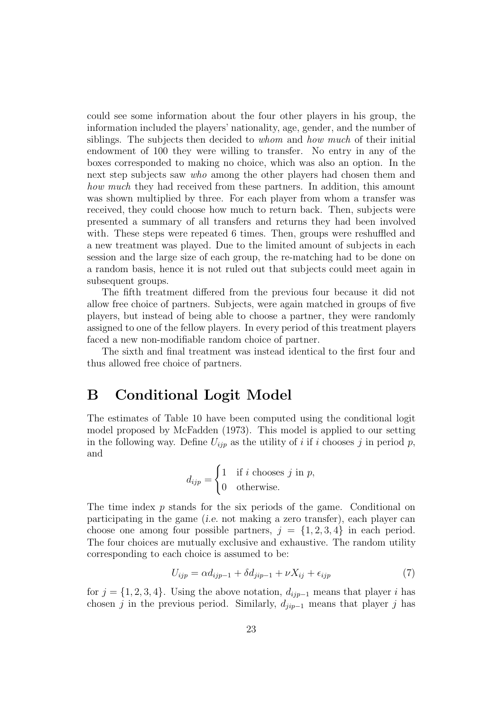could see some information about the four other players in his group, the information included the players' nationality, age, gender, and the number of siblings. The subjects then decided to *whom* and *how much* of their initial endowment of 100 they were willing to transfer. No entry in any of the boxes corresponded to making no choice, which was also an option. In the next step subjects saw *who* among the other players had chosen them and how much they had received from these partners. In addition, this amount was shown multiplied by three. For each player from whom a transfer was received, they could choose how much to return back. Then, subjects were presented a summary of all transfers and returns they had been involved with. These steps were repeated 6 times. Then, groups were reshuffled and a new treatment was played. Due to the limited amount of subjects in each session and the large size of each group, the re-matching had to be done on a random basis, hence it is not ruled out that subjects could meet again in subsequent groups.

The fifth treatment differed from the previous four because it did not allow free choice of partners. Subjects, were again matched in groups of five players, but instead of being able to choose a partner, they were randomly assigned to one of the fellow players. In every period of this treatment players faced a new non-modifiable random choice of partner.

The sixth and final treatment was instead identical to the first four and thus allowed free choice of partners.

#### **B Conditional Logit Model**

The estimates of Table 10 have been computed using the conditional logit model proposed by McFadden (1973). This model is applied to our setting in the following way. Define  $U_{ijp}$  as the utility of i if i chooses j in period p, and

$$
d_{ijp} = \begin{cases} 1 & \text{if } i \text{ chooses } j \text{ in } p, \\ 0 & \text{otherwise.} \end{cases}
$$

The time index  $p$  stands for the six periods of the game. Conditional on participating in the game (i.e. not making a zero transfer), each player can choose one among four possible partners,  $j = \{1, 2, 3, 4\}$  in each period. The four choices are mutually exclusive and exhaustive. The random utility corresponding to each choice is assumed to be:

$$
U_{ijp} = \alpha d_{ijp-1} + \delta d_{jip-1} + \nu X_{ij} + \epsilon_{ijp} \tag{7}
$$

for  $j = \{1, 2, 3, 4\}$ . Using the above notation,  $d_{ijp-1}$  means that player i has chosen j in the previous period. Similarly,  $d_{jip-1}$  means that player j has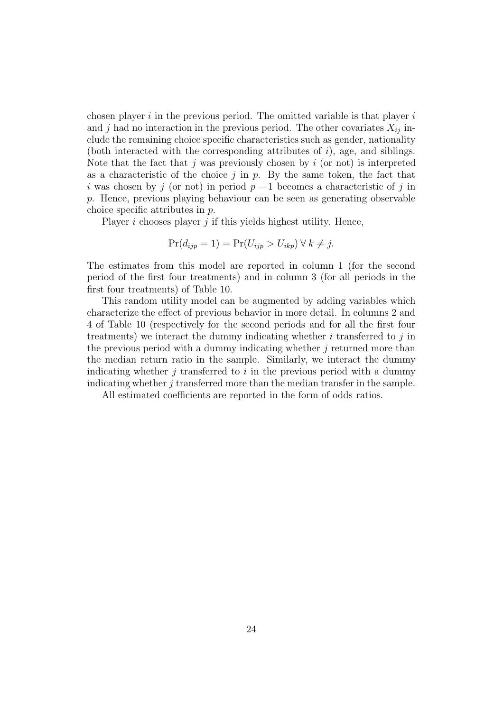chosen player  $i$  in the previous period. The omitted variable is that player  $i$ and j had no interaction in the previous period. The other covariates  $X_{ij}$  include the remaining choice specific characteristics such as gender, nationality (both interacted with the corresponding attributes of  $i$ ), age, and siblings. Note that the fact that j was previously chosen by  $i$  (or not) is interpreted as a characteristic of the choice  $j$  in  $p$ . By the same token, the fact that i was chosen by j (or not) in period  $p-1$  becomes a characteristic of j in p. Hence, previous playing behaviour can be seen as generating observable choice specific attributes in p.

Player  $i$  chooses player  $j$  if this yields highest utility. Hence,

$$
Pr(d_{ijp} = 1) = Pr(U_{ijp} > U_{ikp}) \forall k \neq j.
$$

The estimates from this model are reported in column 1 (for the second period of the first four treatments) and in column 3 (for all periods in the first four treatments) of Table 10.

This random utility model can be augmented by adding variables which characterize the effect of previous behavior in more detail. In columns 2 and 4 of Table 10 (respectively for the second periods and for all the first four treatments) we interact the dummy indicating whether  $i$  transferred to  $j$  in the previous period with a dummy indicating whether j returned more than the median return ratio in the sample. Similarly, we interact the dummy indicating whether  $j$  transferred to  $i$  in the previous period with a dummy indicating whether  $j$  transferred more than the median transfer in the sample.

All estimated coefficients are reported in the form of odds ratios.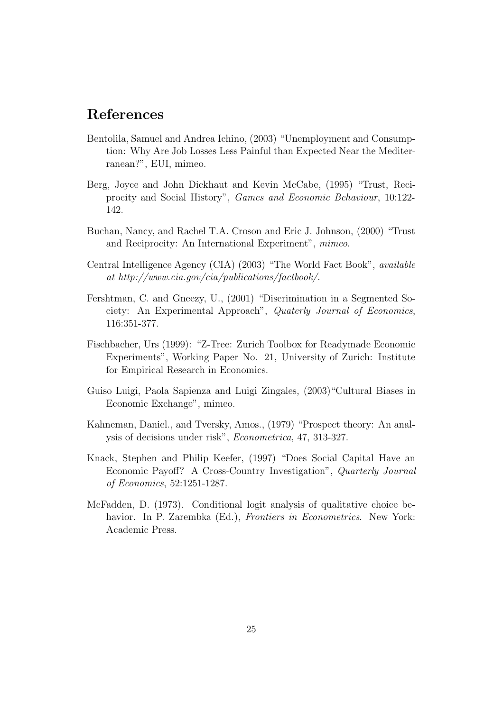# **References**

- Bentolila, Samuel and Andrea Ichino, (2003) "Unemployment and Consumption: Why Are Job Losses Less Painful than Expected Near the Mediterranean?", EUI, mimeo.
- Berg, Joyce and John Dickhaut and Kevin McCabe, (1995) "Trust, Reciprocity and Social History", Games and Economic Behaviour, 10:122- 142.
- Buchan, Nancy, and Rachel T.A. Croson and Eric J. Johnson, (2000) "Trust and Reciprocity: An International Experiment", mimeo.
- Central Intelligence Agency (CIA) (2003) "The World Fact Book", available at http://www.cia.gov/cia/publications/factbook/.
- Fershtman, C. and Gneezy, U., (2001) "Discrimination in a Segmented Society: An Experimental Approach", Quaterly Journal of Economics, 116:351-377.
- Fischbacher, Urs (1999): "Z-Tree: Zurich Toolbox for Readymade Economic Experiments", Working Paper No. 21, University of Zurich: Institute for Empirical Research in Economics.
- Guiso Luigi, Paola Sapienza and Luigi Zingales, (2003)"Cultural Biases in Economic Exchange", mimeo.
- Kahneman, Daniel., and Tversky, Amos., (1979) "Prospect theory: An analysis of decisions under risk", Econometrica, 47, 313-327.
- Knack, Stephen and Philip Keefer, (1997) "Does Social Capital Have an Economic Payoff? A Cross-Country Investigation", Quarterly Journal of Economics, 52:1251-1287.
- McFadden, D. (1973). Conditional logit analysis of qualitative choice behavior. In P. Zarembka (Ed.), *Frontiers in Econometrics*. New York: Academic Press.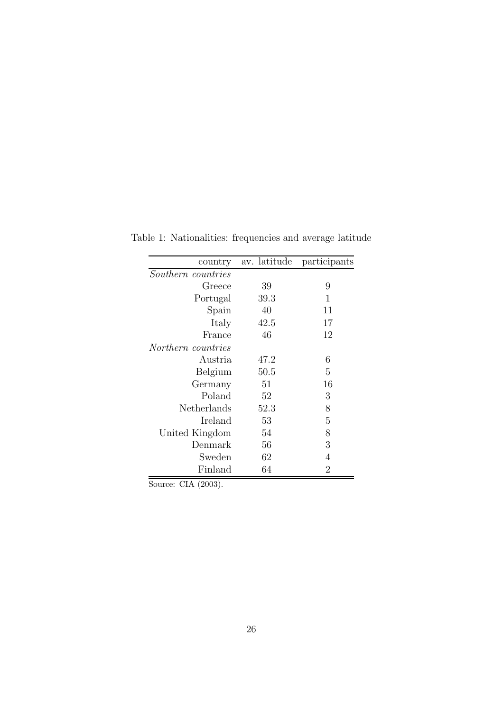| country            | av. latitude | participants   |
|--------------------|--------------|----------------|
| Southern countries |              |                |
| Greece             | 39           | 9              |
| Portugal           | 39.3         | 1              |
| Spain              | 40           | 11             |
| Italy              | 42.5         | 17             |
| France             | 46           | 12             |
| Northern countries |              |                |
| Austria            | 47.2         | 6              |
| Belgium            | 50.5         | 5              |
| Germany            | 51           | 16             |
| Poland             | 52           | 3              |
| Netherlands        | 52.3         | 8              |
| Ireland            | 53           | 5              |
| United Kingdom     | 54           | 8              |
| Denmark            | 56           | 3              |
| Sweden             | 62           | 4              |
| Finland            | 64           | $\overline{2}$ |

Table 1: Nationalities: frequencies and average latitude

Source: CIA (2003).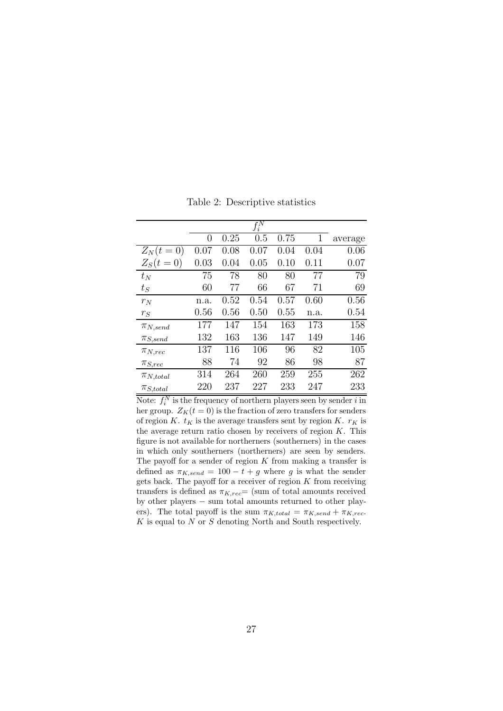|                                      |          |      | $\overline{f_i^N}$ |      |      |         |
|--------------------------------------|----------|------|--------------------|------|------|---------|
|                                      | 0        | 0.25 | 0.5                | 0.75 | 1    | average |
| $Z_N(t=$<br>$\left( 0\right)$        | $0.07\,$ | 0.08 | 0.07               | 0.04 | 0.04 | 0.06    |
| $Z_S(t)$<br>$\left( 0\right)$<br>$=$ | 0.03     | 0.04 | 0.05               | 0.10 | 0.11 | 0.07    |
| $t_N$                                | 75       | 78   | 80                 | 80   | 77   | 79      |
| $t_S$                                | 60       | 77   | 66                 | 67   | 71   | 69      |
| $r_N$                                | n.a.     | 0.52 | 0.54               | 0.57 | 0.60 | 0.56    |
| $r_S$                                | 0.56     | 0.56 | 0.50               | 0.55 | n.a. | 0.54    |
| $\pi_{N,send}$                       | 177      | 147  | 154                | 163  | 173  | 158     |
| $\pi_{S,send}$                       | 132      | 163  | 136                | 147  | 149  | 146     |
| $\pi_{N,rec}$                        | 137      | 116  | 106                | 96   | 82   | 105     |
| $\pi_{S,rec}$                        | 88       | 74   | 92                 | 86   | 98   | 87      |
| $\pi_{N,total}$                      | 314      | 264  | 260                | 259  | 255  | 262     |
| $\pi_{S,total}$                      | 220      | 237  | 227                | 233  | 247  | 233     |

Table 2: Descriptive statistics

Note:  $f_i^N$  is the frequency of northern players seen by sender i in her group.  $Z_K(t=0)$  is the fraction of zero transfers for senders of region K.  $t_K$  is the average transfers sent by region K.  $r_K$  is the average return ratio chosen by receivers of region  $K$ . This figure is not available for northerners (southerners) in the cases in which only southerners (northerners) are seen by senders. The payoff for a sender of region  $K$  from making a transfer is defined as  $\pi_{K,send} = 100 - t + g$  where g is what the sender gets back. The payoff for a receiver of region  $K$  from receiving transfers is defined as  $\pi_{K,rec}$  (sum of total amounts received by other players − sum total amounts returned to other players). The total payoff is the sum  $\pi_{K,total} = \pi_{K,send} + \pi_{K,rec}$ .  $K$  is equal to  $N$  or  $S$  denoting North and South respectively.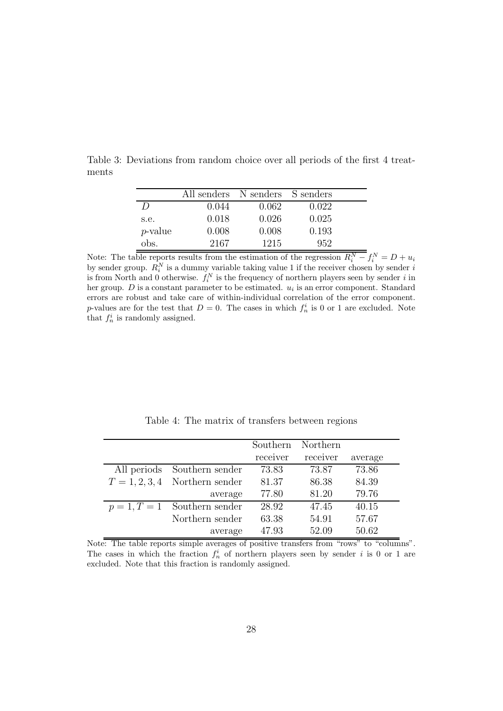|                  | All senders N senders S senders |       |       |  |
|------------------|---------------------------------|-------|-------|--|
| $\left( \right)$ | 0.044                           | 0.062 | 0.022 |  |
| s.e.             | 0.018                           | 0.026 | 0.025 |  |
| $p$ -value       | 0.008                           | 0.008 | 0.193 |  |
| obs.             | 2167                            | 1215  | 952   |  |

Table 3: Deviations from random choice over all periods of the first 4 treatments

Note: The table reports results from the estimation of the regression  $R_i^N - f_i^N = D + u_i$ by sender group.  $R_i^N$  is a dummy variable taking value 1 if the receiver chosen by sender i is from North and 0 otherwise.  $f_i^N$  is the frequency of northern players seen by sender i in her group.  $D$  is a constant parameter to be estimated.  $u_i$  is an error component. Standard errors are robust and take care of within-individual correlation of the error component. p-values are for the test that  $D=0$ . The cases in which  $f_n^i$  is 0 or 1 are excluded. Note that  $f_n^i$  is randomly assigned.

Table 4: The matrix of transfers between regions

|                                  | Southern | Northern |         |
|----------------------------------|----------|----------|---------|
|                                  | receiver | receiver | average |
| All periods Southern sender      | 73.83    | 73.87    | 73.86   |
| $T = 1, 2, 3, 4$ Northern sender | 81.37    | 86.38    | 84.39   |
| average                          | 77.80    | 81.20    | 79.76   |
| $p = 1, T = 1$ Southern sender   | 28.92    | 47.45    | 40.15   |
| Northern sender                  | 63.38    | 54.91    | 57.67   |
| average                          | 47.93    | 52.09    | 50.62   |

Note: The table reports simple averages of positive transfers from "rows" to "columns". The cases in which the fraction  $f_n^i$  of northern players seen by sender i is 0 or 1 are excluded. Note that this fraction is randomly assigned.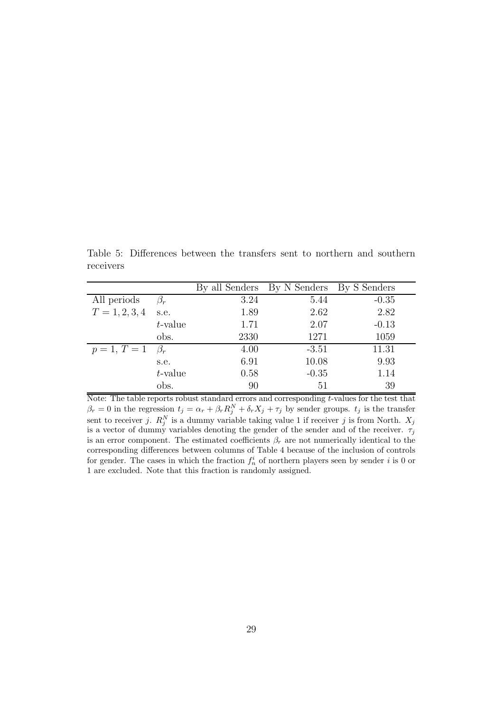Table 5: Differences between the transfers sent to northern and southern receivers

|                              |            |      | By all Senders By N Senders By S Senders |         |
|------------------------------|------------|------|------------------------------------------|---------|
| All periods                  |            | 3.24 | 5.44                                     | $-0.35$ |
| $T = 1, 2, 3, 4$             | s.e.       | 1.89 | 2.62                                     | 2.82    |
|                              | $t$ -value | 1.71 | 2.07                                     | $-0.13$ |
|                              | obs.       | 2330 | 1271                                     | 1059    |
| $p = 1, T = 1 \quad \beta_r$ |            | 4.00 | $-3.51$                                  | 11.31   |
|                              | s.e.       | 6.91 | 10.08                                    | 9.93    |
|                              | $t$ -value | 0.58 | $-0.35$                                  | 1.14    |
|                              | obs.       | 90   | 51                                       | 39      |

Note: The table reports robust standard errors and corresponding t-values for the test that  $\beta_r = 0$  in the regression  $t_j = \alpha_r + \beta_r R_j^N + \delta_r X_j + \tau_j$  by sender groups.  $t_j$  is the transfer sent to receiver j.  $R_j^N$  is a dummy variable taking value 1 if receiver j is from North.  $X_j$ is a vector of dummy variables denoting the gender of the sender and of the receiver.  $\tau_j$ is an error component. The estimated coefficients  $\beta_r$  are not numerically identical to the corresponding differences between columns of Table 4 because of the inclusion of controls for gender. The cases in which the fraction  $f_n^i$  of northern players seen by sender i is 0 or 1 are excluded. Note that this fraction is randomly assigned.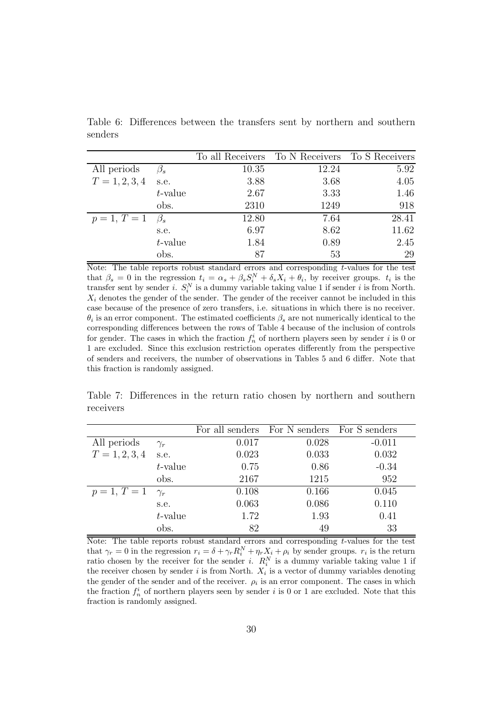Table 6: Differences between the transfers sent by northern and southern senders

|                              |            |       | To all Receivers To N Receivers To S Receivers |       |
|------------------------------|------------|-------|------------------------------------------------|-------|
| All periods                  |            | 10.35 | 12.24                                          | 5.92  |
| $T = 1, 2, 3, 4$             | s.e.       | 3.88  | 3.68                                           | 4.05  |
|                              | $t$ -value | 2.67  | 3.33                                           | 1.46  |
|                              | obs.       | 2310  | 1249                                           | 918   |
| $p = 1, T = 1 \quad \beta_s$ |            | 12.80 | 7.64                                           | 28.41 |
|                              | s.e.       | 6.97  | 8.62                                           | 11.62 |
|                              | $t$ -value | 1.84  | 0.89                                           | 2.45  |
|                              | obs.       | 87    | 53                                             | 29    |

Note: The table reports robust standard errors and corresponding  $t$ -values for the test that  $\beta_s = 0$  in the regression  $t_i = \alpha_s + \beta_s S_i^N + \delta_s X_i + \theta_i$ , by receiver groups.  $t_i$  is the transfer sent by sender *i*.  $S_i^N$  is a dummy variable taking value 1 if sender *i* is from North.  $X_i$  denotes the gender of the sender. The gender of the receiver cannot be included in this case because of the presence of zero transfers, i.e. situations in which there is no receiver.  $\theta_i$  is an error component. The estimated coefficients  $\beta_s$  are not numerically identical to the corresponding differences between the rows of Table 4 because of the inclusion of controls for gender. The cases in which the fraction  $f_n^i$  of northern players seen by sender i is 0 or 1 are excluded. Since this exclusion restriction operates differently from the perspective of senders and receivers, the number of observations in Tables 5 and 6 differ. Note that this fraction is randomly assigned.

Table 7: Differences in the return ratio chosen by northern and southern receivers

|                         |            |       | For all senders For N senders For S senders |          |
|-------------------------|------------|-------|---------------------------------------------|----------|
| All periods             | $\gamma_r$ | 0.017 | 0.028                                       | $-0.011$ |
| $T = 1, 2, 3, 4$        | s.e.       | 0.023 | 0.033                                       | 0.032    |
|                         | $t$ -value | 0.75  | 0.86                                        | $-0.34$  |
|                         | obs.       | 2167  | 1215                                        | 952      |
| $p = 1, T = 1 \gamma_r$ |            | 0.108 | 0.166                                       | 0.045    |
|                         | s.e.       | 0.063 | 0.086                                       | 0.110    |
|                         | $t$ -value | 1.72  | 1.93                                        | 0.41     |
|                         | obs.       | 82    | 49                                          | 33       |

Note: The table reports robust standard errors and corresponding t-values for the test that  $\gamma_r = 0$  in the regression  $r_i = \delta + \gamma_r R_i^N + \eta_r X_i + \rho_i$  by sender groups.  $r_i$  is the return ratio chosen by the receiver for the sender *i*.  $R_i^N$  is a dummy variable taking value 1 if the receiver chosen by sender  $i$  is from North.  $X_i$  is a vector of dummy variables denoting the gender of the sender and of the receiver.  $\rho_i$  is an error component. The cases in which the fraction  $f_n^i$  of northern players seen by sender i is 0 or 1 are excluded. Note that this fraction is randomly assigned.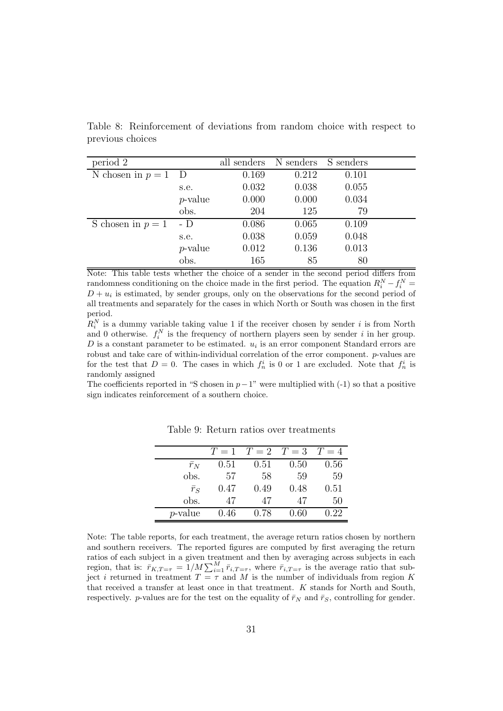| period 2          |            |       | all senders N senders S senders |       |  |
|-------------------|------------|-------|---------------------------------|-------|--|
| N chosen in $p=1$ | $\Box$     | 0.169 | 0.212                           | 0.101 |  |
|                   | s.e.       | 0.032 | 0.038                           | 0.055 |  |
|                   | $p$ -value | 0.000 | 0.000                           | 0.034 |  |
|                   | obs.       | 204   | 125                             | 79    |  |
| S chosen in $p=1$ | - D        | 0.086 | 0.065                           | 0.109 |  |
|                   | s.e.       | 0.038 | 0.059                           | 0.048 |  |
|                   | $p$ -value | 0.012 | 0.136                           | 0.013 |  |
|                   | obs.       | 165   | 85                              | 80    |  |

Table 8: Reinforcement of deviations from random choice with respect to previous choices

Note: This table tests whether the choice of a sender in the second period differs from randomness conditioning on the choice made in the first period. The equation  $R_i^N - f_i^N =$  $D + u_i$  is estimated, by sender groups, only on the observations for the second period of all treatments and separately for the cases in which North or South was chosen in the first period.

 $R_i^N$  is a dummy variable taking value 1 if the receiver chosen by sender i is from North and 0 otherwise.  $f_i^N$  is the frequency of northern players seen by sender i in her group.  $D$  is a constant parameter to be estimated.  $u_i$  is an error component Standard errors are robust and take care of within-individual correlation of the error component.  $p$ -values are for the test that  $D=0$ . The cases in which  $f_n^i$  is 0 or 1 are excluded. Note that  $f_n^i$  is randomly assigned

The coefficients reported in "S chosen in  $p-1$ " were multiplied with (-1) so that a positive sign indicates reinforcement of a southern choice.

|             |      | $T=1$ $T=2$ $T=3$ |      | $T=4$ |
|-------------|------|-------------------|------|-------|
| $\bar{r}_N$ | 0.51 | 0.51              | 0.50 | 0.56  |
| obs.        | 57   | 58                | 59   | 59    |
| $\bar{r}_S$ | 0.47 | 0.49              | 0.48 | 0.51  |
| obs.        | 47   | 47                | 47   | 50    |
| $p$ -value  | 0.46 | 0.78              | 0.60 | 0.22  |

 $\overline{a}$ 

Table 9: Return ratios over treatments

Note: The table reports, for each treatment, the average return ratios chosen by northern and southern receivers. The reported figures are computed by first averaging the return ratios of each subject in a given treatment and then by averaging across subjects in each region, that is:  $\bar{r}_{K,T=\tau} = 1/M \sum_{i=1}^{M} \bar{r}_{i,T=\tau}$ , where  $\bar{r}_{i,T=\tau}$  is the average ratio that subject i returned in treatment  $T = \tau$  and M is the number of individuals from region K that received a transfer at least once in that treatment. K stands for North and South, respectively. p-values are for the test on the equality of  $\bar{r}_N$  and  $\bar{r}_S$ , controlling for gender.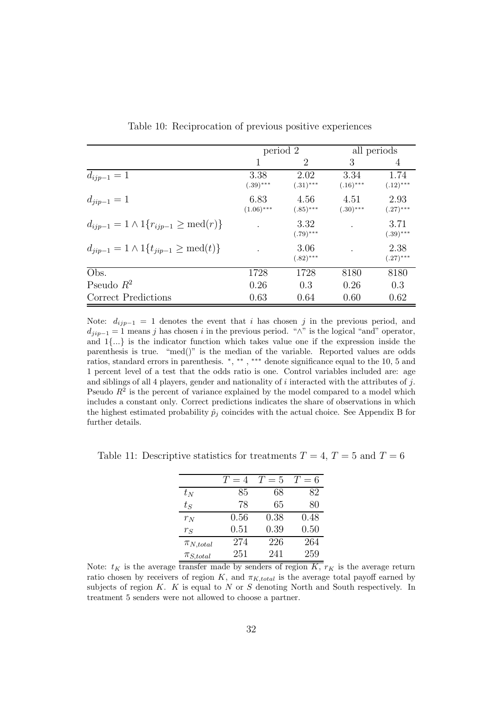|                                                           | period 2             |                     |                     | all periods         |
|-----------------------------------------------------------|----------------------|---------------------|---------------------|---------------------|
|                                                           | 1                    | 2                   | 3                   | 4                   |
| $d_{ijp-1}=1$                                             | 3.38<br>$(.39)$ ***  | 2.02<br>$(.31)$ *** | 3.34<br>$(.16)$ *** | 1.74<br>$(.12)$ *** |
| $d_{jip-1} = 1$                                           | 6.83<br>$(1.06)$ *** | 4.56<br>$(.85)$ *** | 4.51<br>$(.30)$ *** | 2.93<br>$(.27)$ *** |
| $d_{ijp-1} = 1 \wedge 1\{r_{ijp-1} \geq \text{med}(r)\}\$ |                      | 3.32<br>$(.79)$ *** |                     | 3.71<br>$(.39)$ *** |
| $d_{iip-1} = 1 \wedge 1\{t_{iip-1} \ge \text{med}(t)\}\$  |                      | 3.06<br>$(.82)$ *** |                     | 2.38<br>$(.27)$ *** |
| Obs.                                                      | 1728                 | 1728                | 8180                | 8180                |
| Pseudo $R^2$                                              | 0.26                 | 0.3                 | 0.26                | 0.3                 |
| Correct Predictions                                       | 0.63                 | 0.64                | 0.60                | 0.62                |

Table 10: Reciprocation of previous positive experiences

Note:  $d_{ijp-1} = 1$  denotes the event that i has chosen j in the previous period, and  $d_{jip-1} = 1$  means j has chosen i in the previous period. " $\wedge$ " is the logical "and" operator, and 1{...} is the indicator function which takes value one if the expression inside the parenthesis is true. "med()" is the median of the variable. Reported values are odds ratios, standard errors in parenthesis. \*, \*\*\*, \*\*\* denote significance equal to the 10, 5 and 1 percent level of a test that the odds ratio is one. Control variables included are: age and siblings of all 4 players, gender and nationality of  $i$  interacted with the attributes of  $j$ . Pseudo  $R^2$  is the percent of variance explained by the model compared to a model which includes a constant only. Correct predictions indicates the share of observations in which the highest estimated probability  $\hat{p}_i$  coincides with the actual choice. See Appendix B for further details.

|                 | $T=4$ | $T=5$ | $T=6$ |
|-----------------|-------|-------|-------|
| $t_N$           | 85    | 68    | 82    |
| $t_S$           | 78    | 65    | 80    |
| $r_N$           | 0.56  | 0.38  | 0.48  |
| $r_S$           | 0.51  | 0.39  | 0.50  |
| $\pi_{N,total}$ | 274   | 226   | 264   |
| $\pi_{S,total}$ | 251   | 241   | 259   |

Table 11: Descriptive statistics for treatments  $T = 4$ ,  $T = 5$  and  $T = 6$ 

Note:  $t_K$  is the average transfer made by senders of region  $\overline{K}$ ,  $r_K$  is the average return ratio chosen by receivers of region K, and  $\pi_{K,total}$  is the average total payoff earned by subjects of region  $K$ .  $K$  is equal to  $N$  or  $S$  denoting North and South respectively. In treatment 5 senders were not allowed to choose a partner.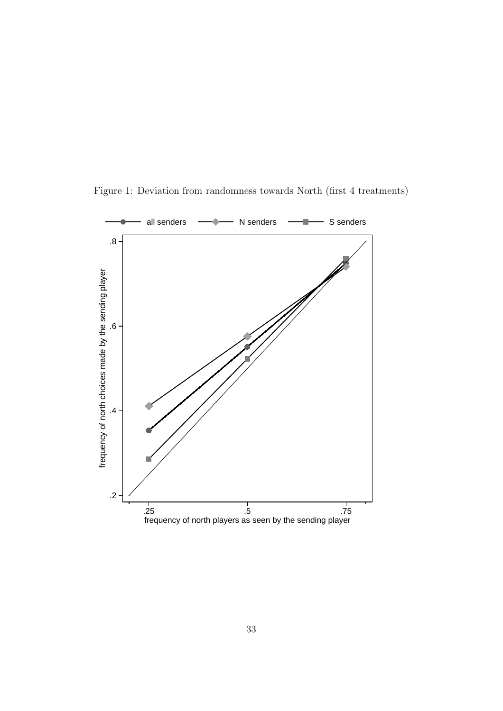

Figure 1: Deviation from randomness towards North (first 4 treatments)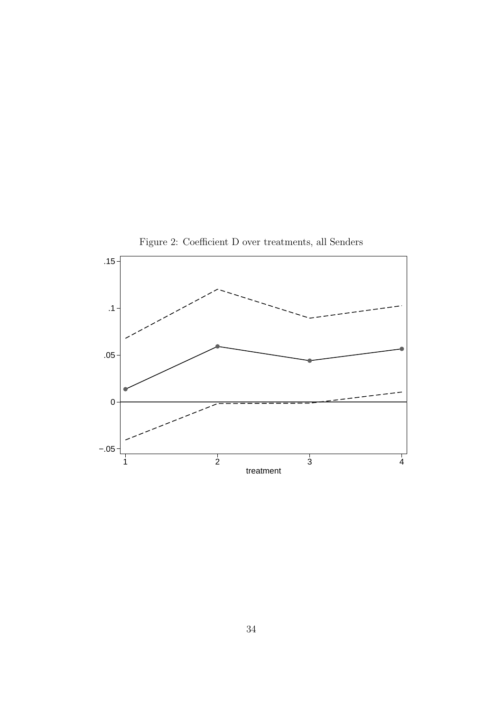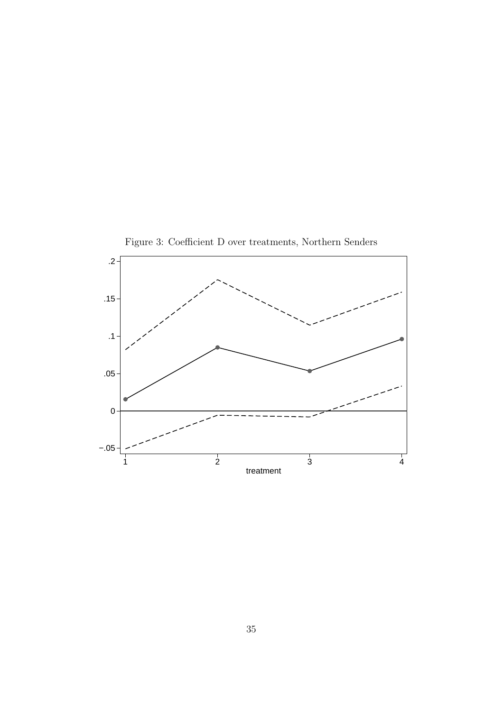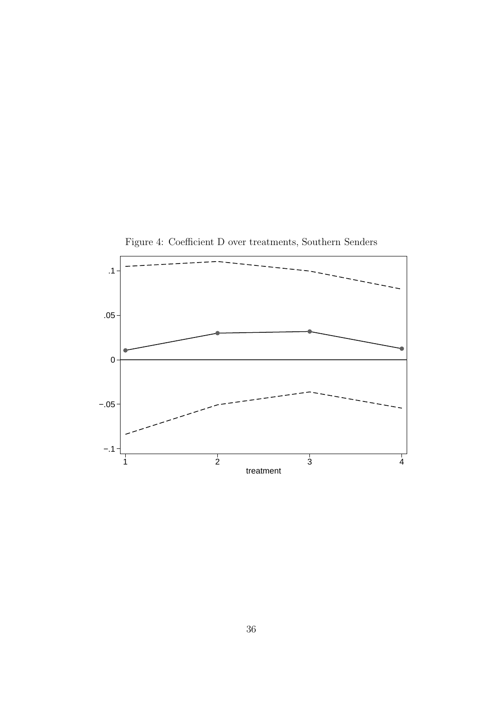

Figure 4: Coefficient D over treatments, Southern Senders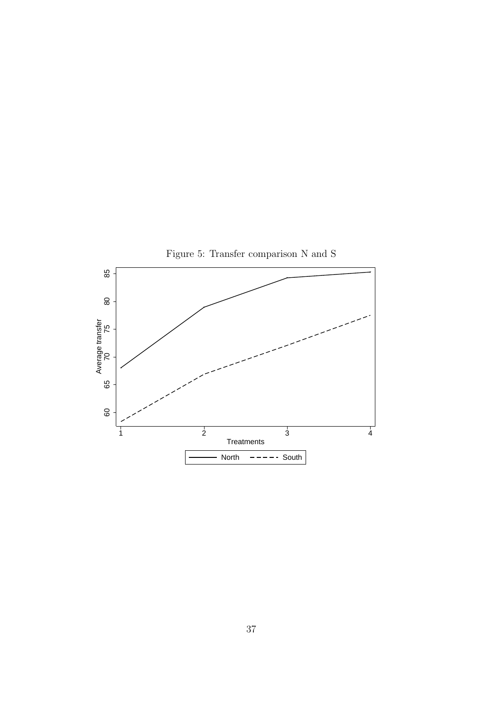

37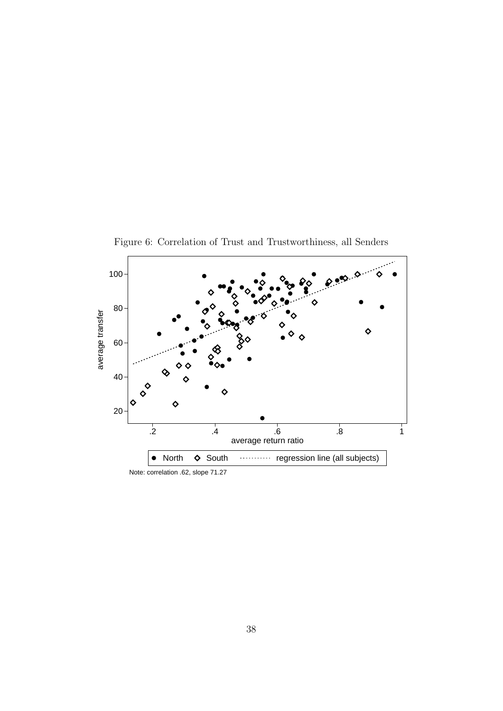

Figure 6: Correlation of Trust and Trustworthiness, all Senders